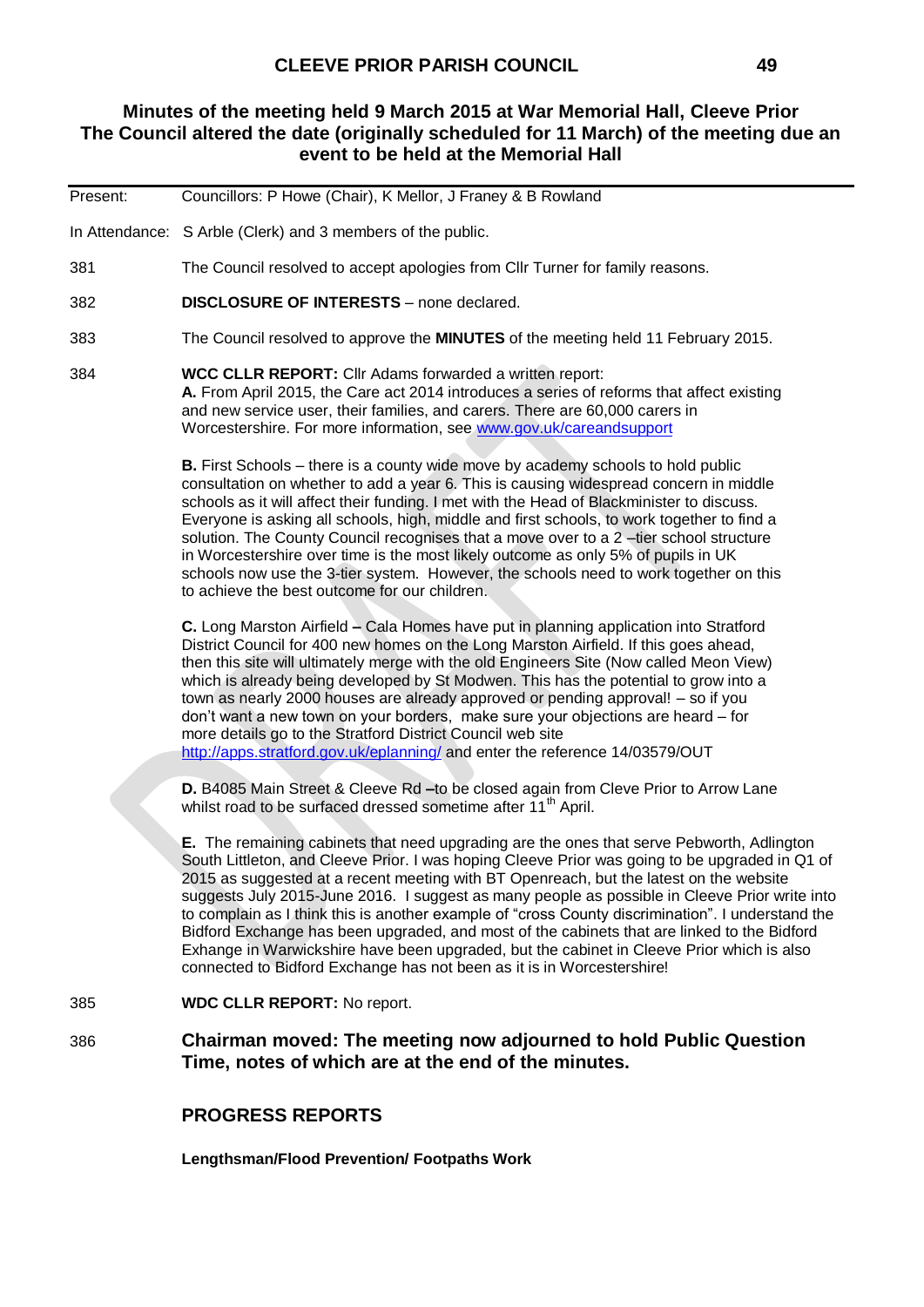### **Minutes of the meeting held 9 March 2015 at War Memorial Hall, Cleeve Prior The Council altered the date (originally scheduled for 11 March) of the meeting due an event to be held at the Memorial Hall**

| Present: | Councillors: P Howe (Chair), K Mellor, J Franey & B Rowland                                                                                                                                                                                                                                                                                                                                                                                                                                                                                                                                                                                                                                                                                                       |
|----------|-------------------------------------------------------------------------------------------------------------------------------------------------------------------------------------------------------------------------------------------------------------------------------------------------------------------------------------------------------------------------------------------------------------------------------------------------------------------------------------------------------------------------------------------------------------------------------------------------------------------------------------------------------------------------------------------------------------------------------------------------------------------|
|          | In Attendance: S Arble (Clerk) and 3 members of the public.                                                                                                                                                                                                                                                                                                                                                                                                                                                                                                                                                                                                                                                                                                       |
| 381      | The Council resolved to accept apologies from CIIr Turner for family reasons.                                                                                                                                                                                                                                                                                                                                                                                                                                                                                                                                                                                                                                                                                     |
| 382      | <b>DISCLOSURE OF INTERESTS</b> - none declared.                                                                                                                                                                                                                                                                                                                                                                                                                                                                                                                                                                                                                                                                                                                   |
| 383      | The Council resolved to approve the <b>MINUTES</b> of the meeting held 11 February 2015.                                                                                                                                                                                                                                                                                                                                                                                                                                                                                                                                                                                                                                                                          |
| 384      | <b>WCC CLLR REPORT:</b> Cllr Adams forwarded a written report:<br>A. From April 2015, the Care act 2014 introduces a series of reforms that affect existing<br>and new service user, their families, and carers. There are 60,000 carers in<br>Worcestershire. For more information, see www.gov.uk/careandsupport                                                                                                                                                                                                                                                                                                                                                                                                                                                |
|          | <b>B.</b> First Schools – there is a county wide move by academy schools to hold public<br>consultation on whether to add a year 6. This is causing widespread concern in middle<br>schools as it will affect their funding. I met with the Head of Blackminister to discuss.<br>Everyone is asking all schools, high, middle and first schools, to work together to find a<br>solution. The County Council recognises that a move over to a 2-tier school structure<br>in Worcestershire over time is the most likely outcome as only 5% of pupils in UK<br>schools now use the 3-tier system. However, the schools need to work together on this<br>to achieve the best outcome for our children.                                                               |
|          | C. Long Marston Airfield – Cala Homes have put in planning application into Stratford<br>District Council for 400 new homes on the Long Marston Airfield. If this goes ahead,<br>then this site will ultimately merge with the old Engineers Site (Now called Meon View)<br>which is already being developed by St Modwen. This has the potential to grow into a<br>town as nearly 2000 houses are already approved or pending approval! - so if you<br>don't want a new town on your borders, make sure your objections are heard - for<br>more details go to the Stratford District Council web site<br>http://apps.stratford.gov.uk/eplanning/ and enter the reference 14/03579/OUT                                                                            |
|          | D. B4085 Main Street & Cleeve Rd - to be closed again from Cleve Prior to Arrow Lane<br>whilst road to be surfaced dressed sometime after 11 <sup>th</sup> April.                                                                                                                                                                                                                                                                                                                                                                                                                                                                                                                                                                                                 |
|          | E. The remaining cabinets that need upgrading are the ones that serve Pebworth, Adlington<br>South Littleton, and Cleeve Prior. I was hoping Cleeve Prior was going to be upgraded in Q1 of<br>2015 as suggested at a recent meeting with BT Openreach, but the latest on the website<br>suggests July 2015-June 2016. I suggest as many people as possible in Cleeve Prior write into<br>to complain as I think this is another example of "cross County discrimination". I understand the<br>Bidford Exchange has been upgraded, and most of the cabinets that are linked to the Bidford<br>Exhange in Warwickshire have been upgraded, but the cabinet in Cleeve Prior which is also<br>connected to Bidford Exchange has not been as it is in Worcestershire! |
| 385      | <b>WDC CLLR REPORT: No report.</b>                                                                                                                                                                                                                                                                                                                                                                                                                                                                                                                                                                                                                                                                                                                                |
| 386      | Chairman moved: The meeting now adjourned to hold Public Question<br>Time, notes of which are at the end of the minutes.                                                                                                                                                                                                                                                                                                                                                                                                                                                                                                                                                                                                                                          |
|          | <b>PROGRESS REPORTS</b>                                                                                                                                                                                                                                                                                                                                                                                                                                                                                                                                                                                                                                                                                                                                           |
|          | <b>Lengthsman/Flood Prevention/ Footpaths Work</b>                                                                                                                                                                                                                                                                                                                                                                                                                                                                                                                                                                                                                                                                                                                |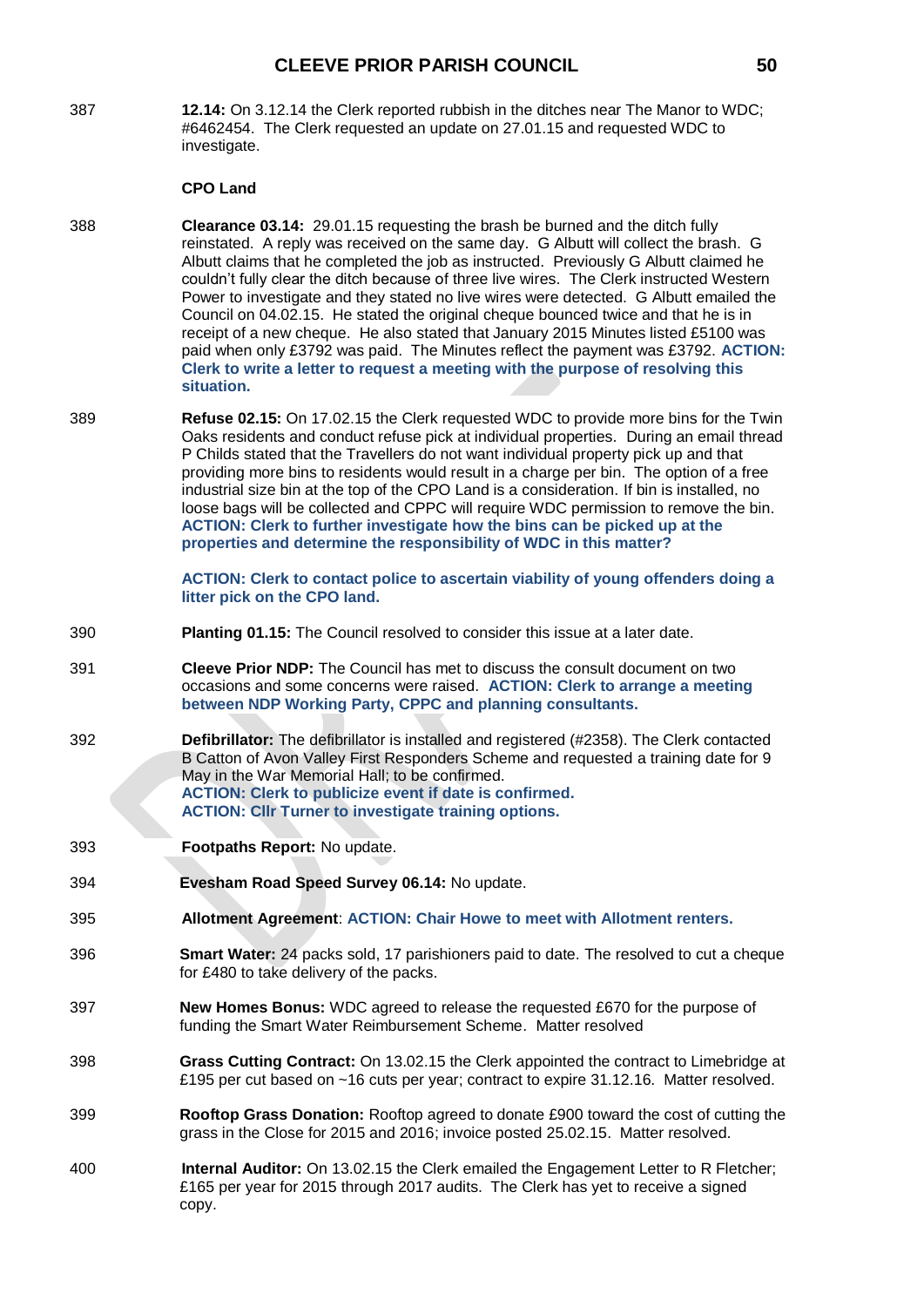### **CLEEVE PRIOR PARISH COUNCIL 50**

387 **12.14:** On 3.12.14 the Clerk reported rubbish in the ditches near The Manor to WDC; #6462454. The Clerk requested an update on 27.01.15 and requested WDC to investigate.

#### **CPO Land**

- 388 **Clearance 03.14:** 29.01.15 requesting the brash be burned and the ditch fully reinstated. A reply was received on the same day. G Albutt will collect the brash. G Albutt claims that he completed the job as instructed. Previously G Albutt claimed he couldn't fully clear the ditch because of three live wires. The Clerk instructed Western Power to investigate and they stated no live wires were detected. G Albutt emailed the Council on 04.02.15. He stated the original cheque bounced twice and that he is in receipt of a new cheque. He also stated that January 2015 Minutes listed £5100 was paid when only £3792 was paid. The Minutes reflect the payment was £3792. **ACTION: Clerk to write a letter to request a meeting with the purpose of resolving this situation.**
- 389 **Refuse 02.15:** On 17.02.15 the Clerk requested WDC to provide more bins for the Twin Oaks residents and conduct refuse pick at individual properties.During an email thread P Childs stated that the Travellers do not want individual property pick up and that providing more bins to residents would result in a charge per bin. The option of a free industrial size bin at the top of the CPO Land is a consideration. If bin is installed, no loose bags will be collected and CPPC will require WDC permission to remove the bin. **ACTION: Clerk to further investigate how the bins can be picked up at the properties and determine the responsibility of WDC in this matter?**

**ACTION: Clerk to contact police to ascertain viability of young offenders doing a litter pick on the CPO land.**

- 390 **Planting 01.15:** The Council resolved to consider this issue at a later date.
- 391 **Cleeve Prior NDP:** The Council has met to discuss the consult document on two occasions and some concerns were raised. **ACTION: Clerk to arrange a meeting between NDP Working Party, CPPC and planning consultants.**
- 392 **Defibrillator:** The defibrillator is installed and registered (#2358). The Clerk contacted B Catton of Avon Valley First Responders Scheme and requested a training date for 9 May in the War Memorial Hall; to be confirmed. **ACTION: Clerk to publicize event if date is confirmed. ACTION: Cllr Turner to investigate training options.**
- 393 **Footpaths Report:** No update.
- 394 **Evesham Road Speed Survey 06.14:** No update.
- 395 **Allotment Agreement**: **ACTION: Chair Howe to meet with Allotment renters.**
- 396 **Smart Water:** 24 packs sold, 17 parishioners paid to date. The resolved to cut a cheque for £480 to take delivery of the packs.
- 397 **New Homes Bonus:** WDC agreed to release the requested £670 for the purpose of funding the Smart Water Reimbursement Scheme. Matter resolved
- 398 **Grass Cutting Contract:** On 13.02.15 the Clerk appointed the contract to Limebridge at £195 per cut based on ~16 cuts per year; contract to expire 31.12.16. Matter resolved.
- 399 **Rooftop Grass Donation:** Rooftop agreed to donate £900 toward the cost of cutting the grass in the Close for 2015 and 2016; invoice posted 25.02.15. Matter resolved.
- 400 **Internal Auditor:** On 13.02.15 the Clerk emailed the Engagement Letter to R Fletcher; £165 per year for 2015 through 2017 audits. The Clerk has yet to receive a signed copy.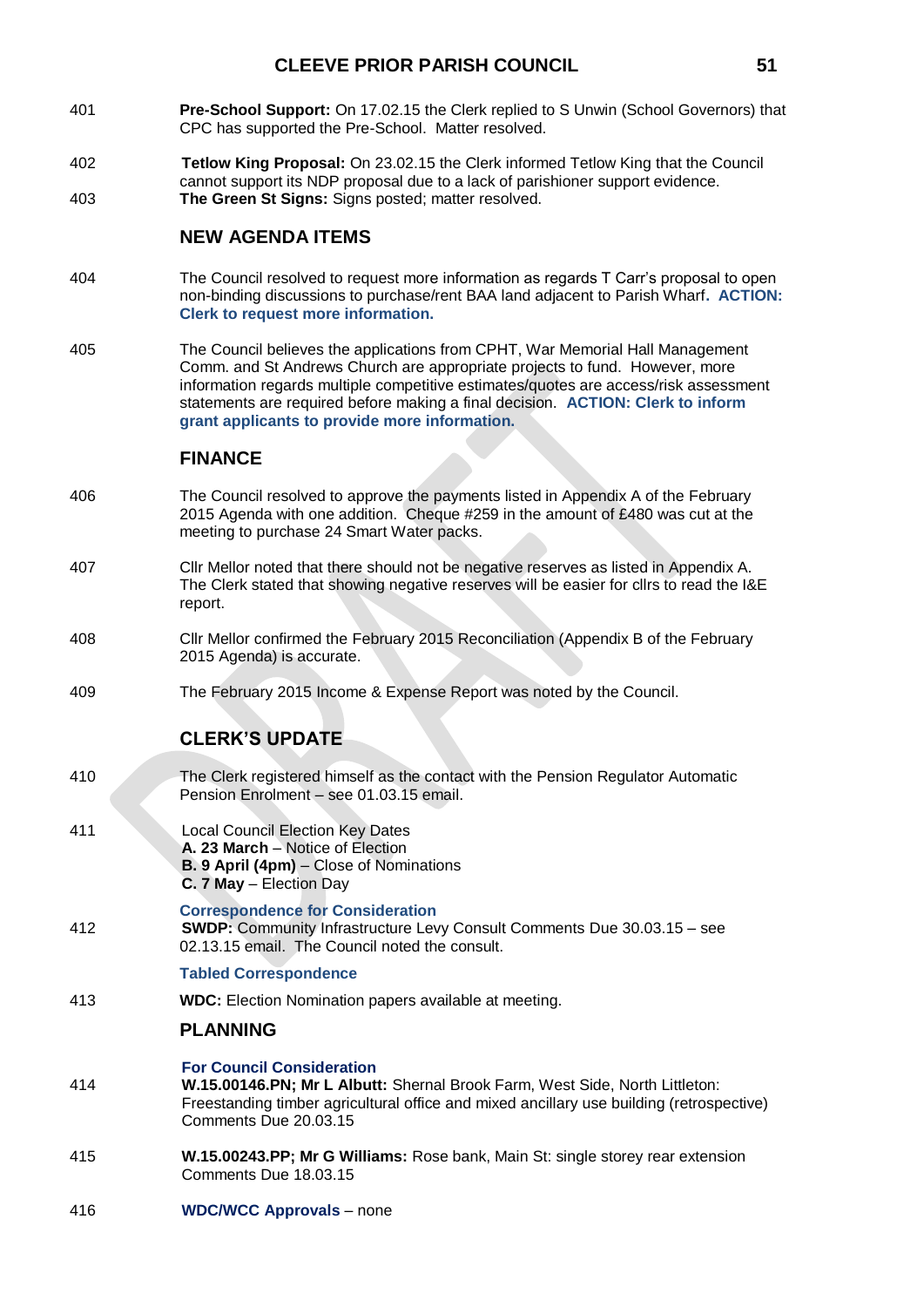- 401 **Pre-School Support:** On 17.02.15 the Clerk replied to S Unwin (School Governors) that CPC has supported the Pre-School. Matter resolved.
- 402 **Tetlow King Proposal:** On 23.02.15 the Clerk informed Tetlow King that the Council cannot support its NDP proposal due to a lack of parishioner support evidence. 403 **The Green St Signs:** Signs posted; matter resolved.

### **NEW AGENDA ITEMS**

- 404 The Council resolved to request more information as regards T Carr's proposal to open non-binding discussions to purchase/rent BAA land adjacent to Parish Wharf**. ACTION: Clerk to request more information.**
- 405 The Council believes the applications from CPHT, War Memorial Hall Management Comm. and St Andrews Church are appropriate projects to fund. However, more information regards multiple competitive estimates/quotes are access/risk assessment statements are required before making a final decision. **ACTION: Clerk to inform grant applicants to provide more information.**

### **FINANCE**

- 406 The Council resolved to approve the payments listed in Appendix A of the February 2015 Agenda with one addition. Cheque #259 in the amount of £480 was cut at the meeting to purchase 24 Smart Water packs.
- 407 Cllr Mellor noted that there should not be negative reserves as listed in Appendix A. The Clerk stated that showing negative reserves will be easier for cllrs to read the I&E report.
- 408 Cllr Mellor confirmed the February 2015 Reconciliation (Appendix B of the February 2015 Agenda) is accurate.
- 409 The February 2015 Income & Expense Report was noted by the Council.

## **CLERK'S UPDATE**

- 410 The Clerk registered himself as the contact with the Pension Regulator Automatic Pension Enrolment – see 01.03.15 email.
- 411 Local Council Election Key Dates **A. 23 March** – Notice of Election **B. 9 April (4pm)** – Close of Nominations **C. 7 May** – Election Day
- **Correspondence for Consideration** 412 **SWDP:** Community Infrastructure Levy Consult Comments Due 30.03.15 – see 02.13.15 email. The Council noted the consult.

#### **Tabled Correspondence**

413 **WDC:** Election Nomination papers available at meeting.

### **PLANNING**

- **For Council Consideration** 414 **W.15.00146.PN; Mr L Albutt:** Shernal Brook Farm, West Side, North Littleton: Freestanding timber agricultural office and mixed ancillary use building (retrospective) Comments Due 20.03.15
- 415 **W.15.00243.PP; Mr G Williams:** Rose bank, Main St: single storey rear extension Comments Due 18.03.15
- 416 **WDC/WCC Approvals** none